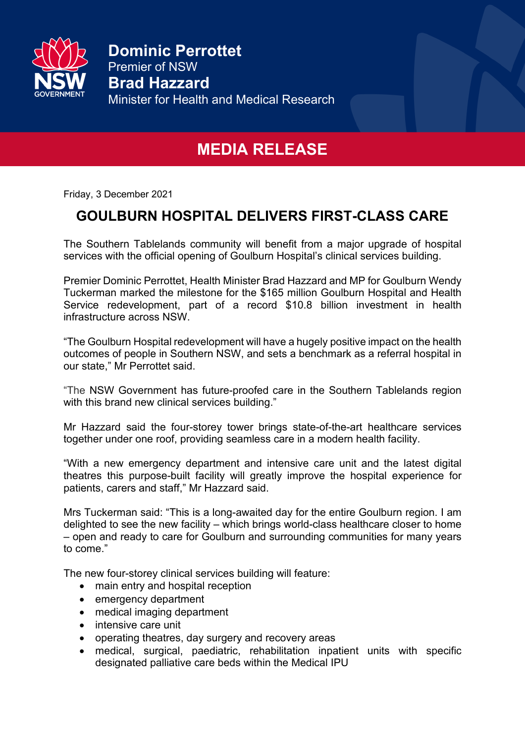

**Dominic Perrottet** Premier of NSW **Brad Hazzard**  Minister for Health and Medical Research

## **MEDIA RELEASE**

Friday, 3 December 2021

## **GOULBURN HOSPITAL DELIVERS FIRST-CLASS CARE**

The Southern Tablelands community will benefit from a major upgrade of hospital services with the official opening of Goulburn Hospital's clinical services building.

Premier Dominic Perrottet, Health Minister Brad Hazzard and MP for Goulburn Wendy Tuckerman marked the milestone for the \$165 million Goulburn Hospital and Health Service redevelopment, part of a record \$10.8 billion investment in health infrastructure across NSW.

"The Goulburn Hospital redevelopment will have a hugely positive impact on the health outcomes of people in Southern NSW, and sets a benchmark as a referral hospital in our state," Mr Perrottet said.

"The NSW Government has future-proofed care in the Southern Tablelands region with this brand new clinical services building."

Mr Hazzard said the four-storey tower brings state-of-the-art healthcare services together under one roof, providing seamless care in a modern health facility.

"With a new emergency department and intensive care unit and the latest digital theatres this purpose-built facility will greatly improve the hospital experience for patients, carers and staff," Mr Hazzard said.

Mrs Tuckerman said: "This is a long-awaited day for the entire Goulburn region. I am delighted to see the new facility – which brings world-class healthcare closer to home – open and ready to care for Goulburn and surrounding communities for many years to come."

The new four-storey clinical services building will feature:

- main entry and hospital reception
- emergency department
- medical imaging department
- intensive care unit
- operating theatres, day surgery and recovery areas
- medical, surgical, paediatric, rehabilitation inpatient units with specific designated palliative care beds within the Medical IPU